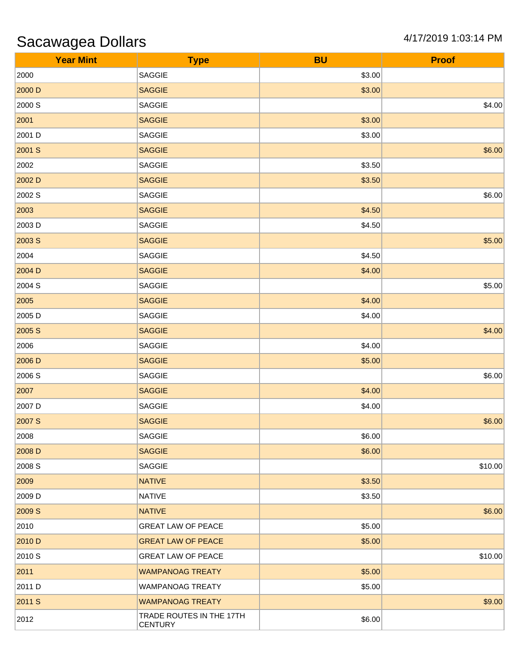## Sacawagea Dollars 4/17/2019 1:03:14 PM

| <b>Year Mint</b> | <b>Type</b>                                | <b>BU</b> | <b>Proof</b> |
|------------------|--------------------------------------------|-----------|--------------|
| 2000             | SAGGIE                                     | \$3.00    |              |
| 2000 D           | <b>SAGGIE</b>                              | \$3.00    |              |
| 2000 S           | SAGGIE                                     |           | \$4.00       |
| 2001             | <b>SAGGIE</b>                              | \$3.00    |              |
| 2001 D           | SAGGIE                                     | \$3.00    |              |
| 2001 S           | <b>SAGGIE</b>                              |           | \$6.00       |
| 2002             | SAGGIE                                     | \$3.50    |              |
| 2002 D           | <b>SAGGIE</b>                              | \$3.50    |              |
| 2002 S           | SAGGIE                                     |           | \$6.00       |
| 2003             | <b>SAGGIE</b>                              | \$4.50    |              |
| 2003 D           | SAGGIE                                     | \$4.50    |              |
| 2003 S           | <b>SAGGIE</b>                              |           | \$5.00       |
| 2004             | SAGGIE                                     | \$4.50    |              |
| 2004 D           | <b>SAGGIE</b>                              | \$4.00    |              |
| 2004 S           | SAGGIE                                     |           | \$5.00       |
| 2005             | <b>SAGGIE</b>                              | \$4.00    |              |
| 2005 D           | SAGGIE                                     | \$4.00    |              |
| 2005 S           | <b>SAGGIE</b>                              |           | \$4.00       |
| 2006             | SAGGIE                                     | \$4.00    |              |
| 2006 D           | <b>SAGGIE</b>                              | \$5.00    |              |
| 2006 S           | SAGGIE                                     |           | \$6.00       |
| 2007             | <b>SAGGIE</b>                              | \$4.00    |              |
| 2007 D           | SAGGIE                                     | \$4.00    |              |
| 2007 S           | <b>SAGGIE</b>                              |           | \$6.00       |
| 2008             | SAGGIE                                     | \$6.00    |              |
| 2008 D           | <b>SAGGIE</b>                              | \$6.00    |              |
| 2008 S           | SAGGIE                                     |           | \$10.00      |
| 2009             | <b>NATIVE</b>                              | \$3.50    |              |
| 2009 D           | <b>NATIVE</b>                              | \$3.50    |              |
| 2009 S           | <b>NATIVE</b>                              |           | \$6.00       |
| 2010             | <b>GREAT LAW OF PEACE</b>                  | \$5.00    |              |
| 2010 D           | <b>GREAT LAW OF PEACE</b>                  | \$5.00    |              |
| 2010 S           | <b>GREAT LAW OF PEACE</b>                  |           | \$10.00      |
| 2011             | <b>WAMPANOAG TREATY</b>                    | \$5.00    |              |
| 2011 D           | <b>WAMPANOAG TREATY</b>                    | \$5.00    |              |
| 2011 S           | <b>WAMPANOAG TREATY</b>                    |           | \$9.00       |
| 2012             | TRADE ROUTES IN THE 17TH<br><b>CENTURY</b> | \$6.00    |              |